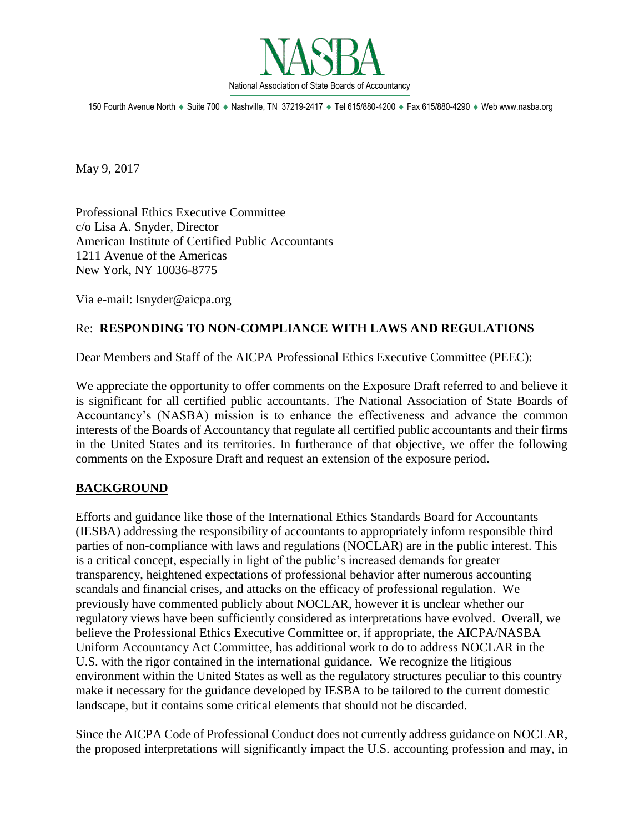

150 Fourth Avenue North · Suite 700 · Nashville, TN 37219-2417 · Tel 615/880-4200 · Fax 615/880-4290 · Web www.nasba.org

May 9, 2017

Professional Ethics Executive Committee c/o Lisa A. Snyder, Director American Institute of Certified Public Accountants 1211 Avenue of the Americas New York, NY 10036-8775

Via e-mail: lsnyder@aicpa.org

#### Re: **RESPONDING TO NON-COMPLIANCE WITH LAWS AND REGULATIONS**

Dear Members and Staff of the AICPA Professional Ethics Executive Committee (PEEC):

We appreciate the opportunity to offer comments on the Exposure Draft referred to and believe it is significant for all certified public accountants. The National Association of State Boards of Accountancy's (NASBA) mission is to enhance the effectiveness and advance the common interests of the Boards of Accountancy that regulate all certified public accountants and their firms in the United States and its territories. In furtherance of that objective, we offer the following comments on the Exposure Draft and request an extension of the exposure period.

# **BACKGROUND**

Efforts and guidance like those of the International Ethics Standards Board for Accountants (IESBA) addressing the responsibility of accountants to appropriately inform responsible third parties of non-compliance with laws and regulations (NOCLAR) are in the public interest. This is a critical concept, especially in light of the public's increased demands for greater transparency, heightened expectations of professional behavior after numerous accounting scandals and financial crises, and attacks on the efficacy of professional regulation. We previously have commented publicly about NOCLAR, however it is unclear whether our regulatory views have been sufficiently considered as interpretations have evolved. Overall, we believe the Professional Ethics Executive Committee or, if appropriate, the AICPA/NASBA Uniform Accountancy Act Committee, has additional work to do to address NOCLAR in the U.S. with the rigor contained in the international guidance. We recognize the litigious environment within the United States as well as the regulatory structures peculiar to this country make it necessary for the guidance developed by IESBA to be tailored to the current domestic landscape, but it contains some critical elements that should not be discarded.

Since the AICPA Code of Professional Conduct does not currently address guidance on NOCLAR, the proposed interpretations will significantly impact the U.S. accounting profession and may, in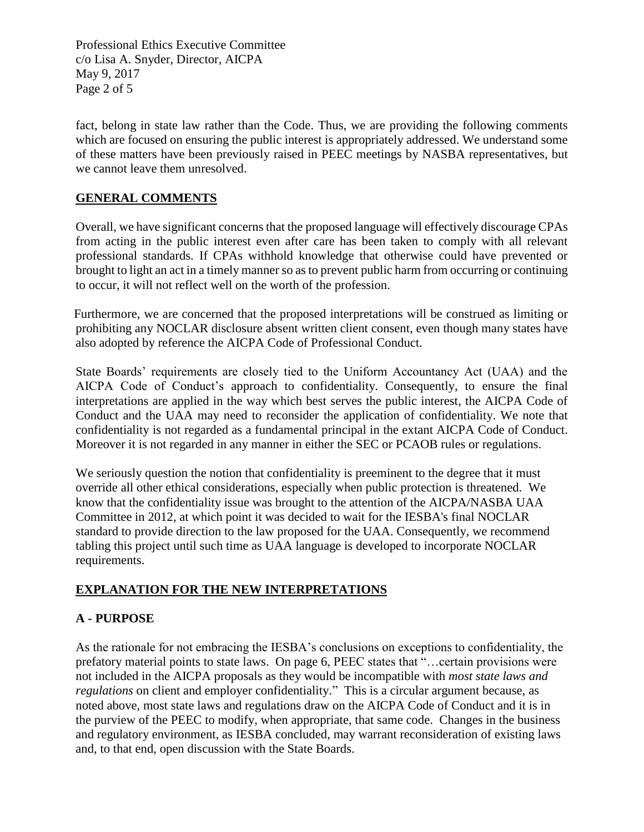Professional Ethics Executive Committee c/o Lisa A. Snyder, Director, AICPA May 9, 2017 Page 2 of 5

fact, belong in state law rather than the Code. Thus, we are providing the following comments which are focused on ensuring the public interest is appropriately addressed. We understand some of these matters have been previously raised in PEEC meetings by NASBA representatives, but we cannot leave them unresolved.

### **GENERAL COMMENTS**

Overall, we have significant concerns that the proposed language will effectively discourage CPAs from acting in the public interest even after care has been taken to comply with all relevant professional standards. If CPAs withhold knowledge that otherwise could have prevented or brought to light an act in a timely manner so as to prevent public harm from occurring or continuing to occur, it will not reflect well on the worth of the profession.

Furthermore, we are concerned that the proposed interpretations will be construed as limiting or prohibiting any NOCLAR disclosure absent written client consent, even though many states have also adopted by reference the AICPA Code of Professional Conduct.

State Boards' requirements are closely tied to the Uniform Accountancy Act (UAA) and the AICPA Code of Conduct's approach to confidentiality. Consequently, to ensure the final interpretations are applied in the way which best serves the public interest, the AICPA Code of Conduct and the UAA may need to reconsider the application of confidentiality. We note that confidentiality is not regarded as a fundamental principal in the extant AICPA Code of Conduct. Moreover it is not regarded in any manner in either the SEC or PCAOB rules or regulations.

We seriously question the notion that confidentiality is preeminent to the degree that it must override all other ethical considerations, especially when public protection is threatened. We know that the confidentiality issue was brought to the attention of the AICPA/NASBA UAA Committee in 2012, at which point it was decided to wait for the IESBA's final NOCLAR standard to provide direction to the law proposed for the UAA. Consequently, we recommend tabling this project until such time as UAA language is developed to incorporate NOCLAR requirements.

#### **EXPLANATION FOR THE NEW INTERPRETATIONS**

# **A - PURPOSE**

As the rationale for not embracing the IESBA's conclusions on exceptions to confidentiality, the prefatory material points to state laws. On page 6, PEEC states that "…certain provisions were not included in the AICPA proposals as they would be incompatible with *most state laws and regulations* on client and employer confidentiality." This is a circular argument because, as noted above, most state laws and regulations draw on the AICPA Code of Conduct and it is in the purview of the PEEC to modify, when appropriate, that same code. Changes in the business and regulatory environment, as IESBA concluded, may warrant reconsideration of existing laws and, to that end, open discussion with the State Boards.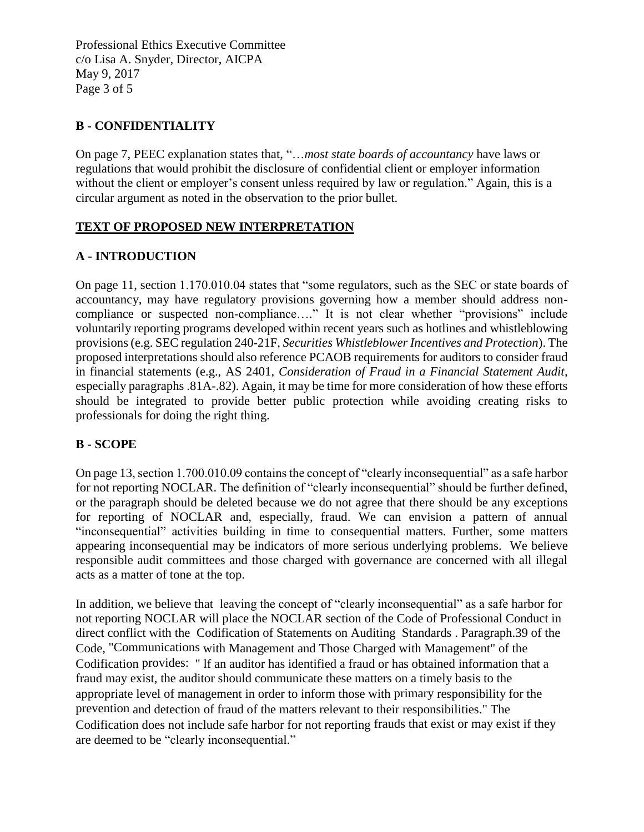Professional Ethics Executive Committee c/o Lisa A. Snyder, Director, AICPA May 9, 2017 Page 3 of 5

### **B - CONFIDENTIALITY**

On page 7, PEEC explanation states that, "…*most state boards of accountancy* have laws or regulations that would prohibit the disclosure of confidential client or employer information without the client or employer's consent unless required by law or regulation." Again, this is a circular argument as noted in the observation to the prior bullet.

#### **TEXT OF PROPOSED NEW INTERPRETATION**

#### **A - INTRODUCTION**

On page 11, section 1.170.010.04 states that "some regulators, such as the SEC or state boards of accountancy, may have regulatory provisions governing how a member should address noncompliance or suspected non-compliance…." It is not clear whether "provisions" include voluntarily reporting programs developed within recent years such as hotlines and whistleblowing provisions (e.g. SEC regulation 240-21F, *Securities Whistleblower Incentives and Protection*). The proposed interpretations should also reference PCAOB requirements for auditors to consider fraud in financial statements (e.g., AS 2401, *Consideration of Fraud in a Financial Statement Audit*, especially paragraphs .81A-.82). Again, it may be time for more consideration of how these efforts should be integrated to provide better public protection while avoiding creating risks to professionals for doing the right thing.

#### **B - SCOPE**

On page 13, section 1.700.010.09 contains the concept of "clearly inconsequential" as a safe harbor for not reporting NOCLAR. The definition of "clearly inconsequential" should be further defined, or the paragraph should be deleted because we do not agree that there should be any exceptions for reporting of NOCLAR and, especially, fraud. We can envision a pattern of annual "inconsequential" activities building in time to consequential matters. Further, some matters appearing inconsequential may be indicators of more serious underlying problems. We believe responsible audit committees and those charged with governance are concerned with all illegal acts as a matter of tone at the top.

In addition, we believe that leaving the concept of "clearly inconsequential" as a safe harbor for not reporting NOCLAR will place the NOCLAR section of the Code of Professional Conduct in direct conflict with the Codification of Statements on Auditing Standards . Paragraph.39 of the Code, "Communications with Management and Those Charged with Management" of the Codification provides: " lf an auditor has identified a fraud or has obtained information that a fraud may exist, the auditor should communicate these matters on a timely basis to the appropriate level of management in order to inform those with primary responsibility for the prevention and detection of fraud of the matters relevant to their responsibilities." The Codification does not include safe harbor for not reporting frauds that exist or may exist if they are deemed to be "clearly inconsequential."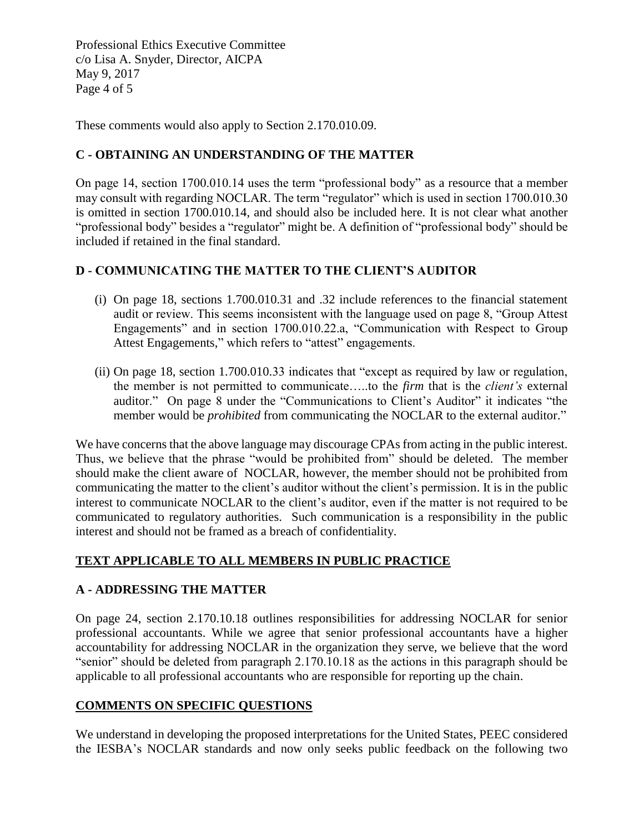Professional Ethics Executive Committee c/o Lisa A. Snyder, Director, AICPA May 9, 2017 Page 4 of 5

These comments would also apply to Section 2.170.010.09.

### **C - OBTAINING AN UNDERSTANDING OF THE MATTER**

On page 14, section 1700.010.14 uses the term "professional body" as a resource that a member may consult with regarding NOCLAR. The term "regulator" which is used in section 1700.010.30 is omitted in section 1700.010.14, and should also be included here. It is not clear what another "professional body" besides a "regulator" might be. A definition of "professional body" should be included if retained in the final standard.

### **D - COMMUNICATING THE MATTER TO THE CLIENT'S AUDITOR**

- (i) On page 18, sections 1.700.010.31 and .32 include references to the financial statement audit or review. This seems inconsistent with the language used on page 8, "Group Attest Engagements" and in section 1700.010.22.a, "Communication with Respect to Group Attest Engagements," which refers to "attest" engagements.
- (ii) On page 18, section 1.700.010.33 indicates that "except as required by law or regulation, the member is not permitted to communicate…..to the *firm* that is the *client's* external auditor." On page 8 under the "Communications to Client's Auditor" it indicates "the member would be *prohibited* from communicating the NOCLAR to the external auditor."

We have concerns that the above language may discourage CPAs from acting in the public interest. Thus, we believe that the phrase "would be prohibited from" should be deleted. The member should make the client aware of NOCLAR, however, the member should not be prohibited from communicating the matter to the client's auditor without the client's permission. It is in the public interest to communicate NOCLAR to the client's auditor, even if the matter is not required to be communicated to regulatory authorities. Such communication is a responsibility in the public interest and should not be framed as a breach of confidentiality.

# **TEXT APPLICABLE TO ALL MEMBERS IN PUBLIC PRACTICE**

# **A - ADDRESSING THE MATTER**

On page 24, section 2.170.10.18 outlines responsibilities for addressing NOCLAR for senior professional accountants. While we agree that senior professional accountants have a higher accountability for addressing NOCLAR in the organization they serve, we believe that the word "senior" should be deleted from paragraph 2.170.10.18 as the actions in this paragraph should be applicable to all professional accountants who are responsible for reporting up the chain.

# **COMMENTS ON SPECIFIC QUESTIONS**

We understand in developing the proposed interpretations for the United States, PEEC considered the IESBA's NOCLAR standards and now only seeks public feedback on the following two